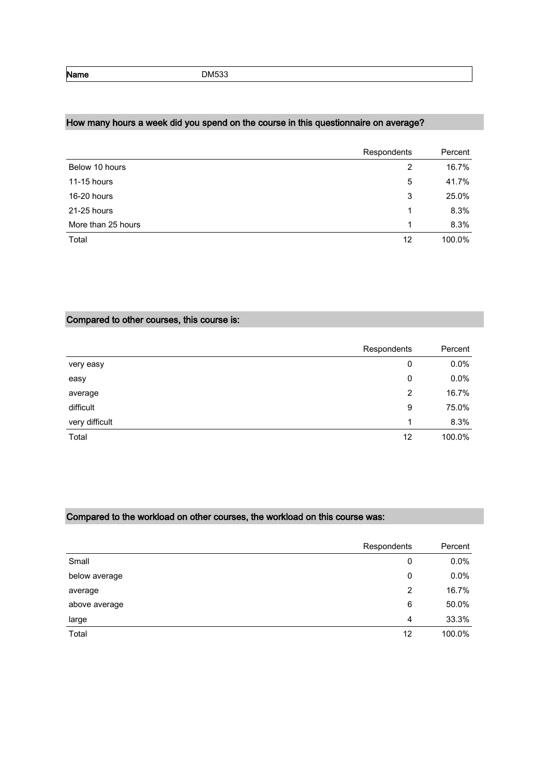Name DM533

# How many hours a week did you spend on the course in this questionnaire on average?

|                    | Respondents | Percent |
|--------------------|-------------|---------|
| Below 10 hours     | 2           | 16.7%   |
| 11-15 hours        | 5           | 41.7%   |
| 16-20 hours        | 3           | 25.0%   |
| 21-25 hours        | 1           | 8.3%    |
| More than 25 hours | 1           | 8.3%    |
| Total              | 12          | 100.0%  |

## Compared to other courses, this course is:

|                | Respondents | Percent |
|----------------|-------------|---------|
| very easy      | 0           | 0.0%    |
| easy           | 0           | 0.0%    |
| average        | 2           | 16.7%   |
| difficult      | 9           | 75.0%   |
| very difficult | 1           | 8.3%    |
| Total          | 12          | 100.0%  |

### Compared to the workload on other courses, the workload on this course was:

|               | Respondents | Percent |
|---------------|-------------|---------|
| Small         | 0           | 0.0%    |
| below average | 0           | 0.0%    |
| average       | 2           | 16.7%   |
| above average | 6           | 50.0%   |
| large         | 4           | 33.3%   |
| Total         | 12          | 100.0%  |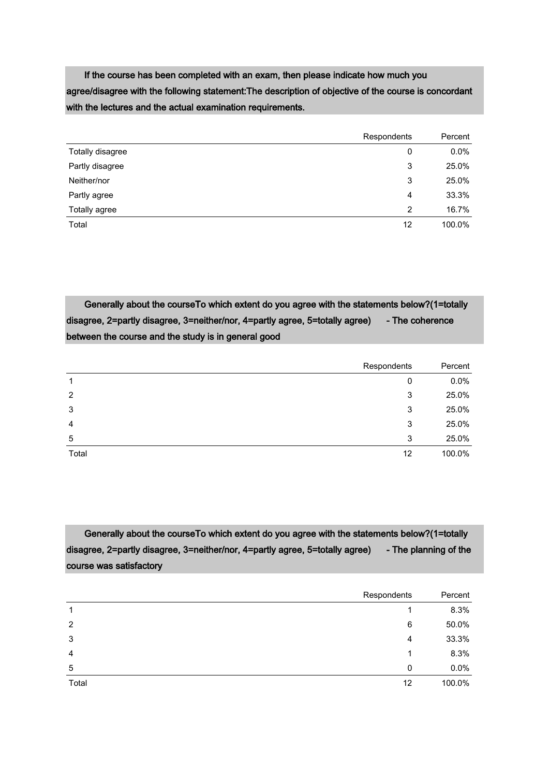If the course has been completed with an exam, then please indicate how much you agree/disagree with the following statement:The description of objective of the course is concordant with the lectures and the actual examination requirements.

|                  | Respondents | Percent |
|------------------|-------------|---------|
| Totally disagree | 0           | $0.0\%$ |
| Partly disagree  | 3           | 25.0%   |
| Neither/nor      | 3           | 25.0%   |
| Partly agree     | 4           | 33.3%   |
| Totally agree    | 2           | 16.7%   |
| Total            | 12          | 100.0%  |

 Generally about the courseTo which extent do you agree with the statements below?(1=totally disagree, 2=partly disagree, 3=neither/nor, 4=partly agree, 5=totally agree) - The coherence between the course and the study is in general good

|                | Respondents | Percent |
|----------------|-------------|---------|
| 1              | 0           | 0.0%    |
| 2              | 3           | 25.0%   |
| 3              | 3           | 25.0%   |
| $\overline{4}$ | 3           | 25.0%   |
| 5              | 3           | 25.0%   |
| Total          | 12          | 100.0%  |

 Generally about the courseTo which extent do you agree with the statements below?(1=totally disagree, 2=partly disagree, 3=neither/nor, 4=partly agree, 5=totally agree) - The planning of the course was satisfactory

|                | Respondents | Percent |
|----------------|-------------|---------|
| 1              |             | 8.3%    |
| 2              | 6           | 50.0%   |
| 3              | 4           | 33.3%   |
| $\overline{4}$ | 1           | 8.3%    |
| 5              | 0           | $0.0\%$ |
| Total          | 12          | 100.0%  |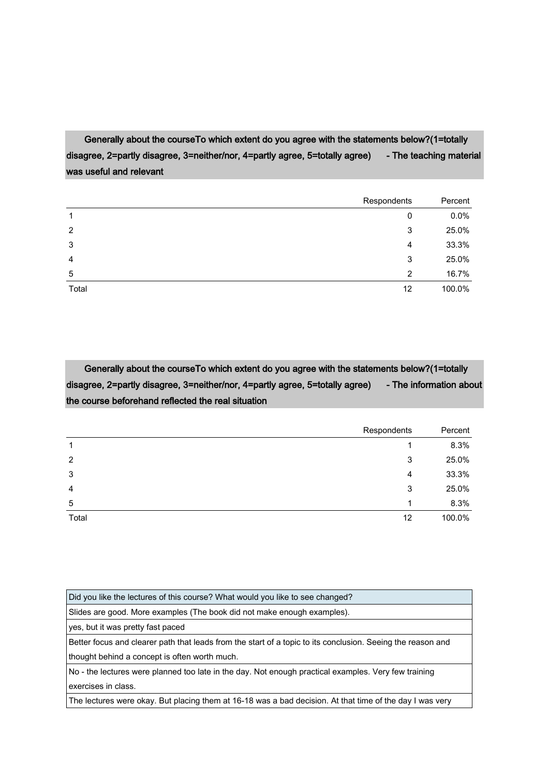Generally about the courseTo which extent do you agree with the statements below?(1=totally disagree, 2=partly disagree, 3=neither/nor, 4=partly agree, 5=totally agree) - The teaching material was useful and relevant

|                | Respondents | Percent |
|----------------|-------------|---------|
| 1              | 0           | 0.0%    |
| 2              | 3           | 25.0%   |
| 3              | 4           | 33.3%   |
| $\overline{4}$ | 3           | 25.0%   |
| 5              | 2           | 16.7%   |
| Total          | 12          | 100.0%  |

 Generally about the courseTo which extent do you agree with the statements below?(1=totally disagree, 2=partly disagree, 3=neither/nor, 4=partly agree, 5=totally agree) - The information about the course beforehand reflected the real situation

|                | Respondents | Percent |
|----------------|-------------|---------|
|                |             | 8.3%    |
| 2              | 3           | 25.0%   |
| 3              | 4           | 33.3%   |
| $\overline{4}$ | 3           | 25.0%   |
| 5              | 1           | 8.3%    |
| Total          | 12          | 100.0%  |

| Did you like the lectures of this course? What would you like to see changed?                               |
|-------------------------------------------------------------------------------------------------------------|
| Slides are good. More examples (The book did not make enough examples).                                     |
| yes, but it was pretty fast paced                                                                           |
| Better focus and clearer path that leads from the start of a topic to its conclusion. Seeing the reason and |
| thought behind a concept is often worth much.                                                               |
| No - the lectures were planned too late in the day. Not enough practical examples. Very few training        |
| exercises in class.                                                                                         |
| The lectures were okay. But placing them at 16-18 was a bad decision. At that time of the day I was very    |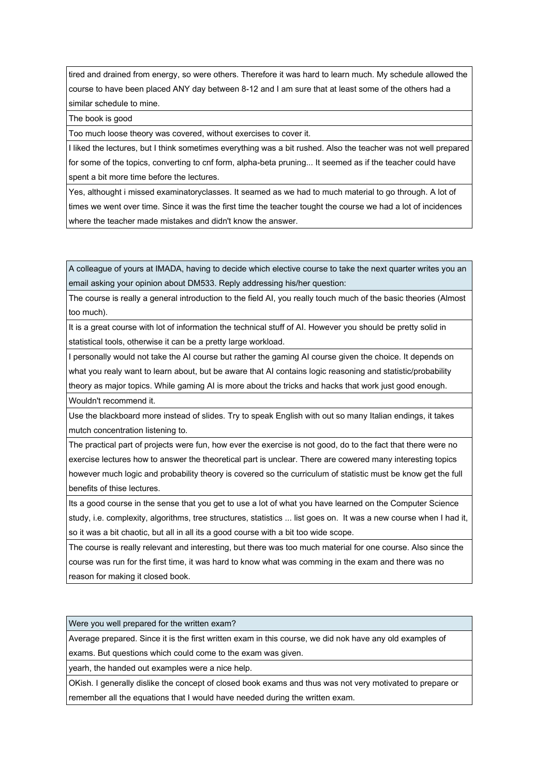tired and drained from energy, so were others. Therefore it was hard to learn much. My schedule allowed the course to have been placed ANY day between 8-12 and I am sure that at least some of the others had a similar schedule to mine.

The book is good

Too much loose theory was covered, without exercises to cover it.

I liked the lectures, but I think sometimes everything was a bit rushed. Also the teacher was not well prepared for some of the topics, converting to cnf form, alpha-beta pruning... It seemed as if the teacher could have spent a bit more time before the lectures.

Yes, althought i missed examinatoryclasses. It seamed as we had to much material to go through. A lot of times we went over time. Since it was the first time the teacher tought the course we had a lot of incidences where the teacher made mistakes and didn't know the answer.

A colleague of yours at IMADA, having to decide which elective course to take the next quarter writes you an email asking your opinion about DM533. Reply addressing his/her question:

The course is really a general introduction to the field AI, you really touch much of the basic theories (Almost too much).

It is a great course with lot of information the technical stuff of AI. However you should be pretty solid in statistical tools, otherwise it can be a pretty large workload.

I personally would not take the AI course but rather the gaming AI course given the choice. It depends on what you realy want to learn about, but be aware that AI contains logic reasoning and statistic/probability theory as major topics. While gaming AI is more about the tricks and hacks that work just good enough. Wouldn't recommend it.

Use the blackboard more instead of slides. Try to speak English with out so many Italian endings, it takes mutch concentration listening to.

The practical part of projects were fun, how ever the exercise is not good, do to the fact that there were no exercise lectures how to answer the theoretical part is unclear. There are cowered many interesting topics however much logic and probability theory is covered so the curriculum of statistic must be know get the full benefits of thise lectures.

Its a good course in the sense that you get to use a lot of what you have learned on the Computer Science study, i.e. complexity, algorithms, tree structures, statistics ... list goes on. It was a new course when I had it, so it was a bit chaotic, but all in all its a good course with a bit too wide scope.

The course is really relevant and interesting, but there was too much material for one course. Also since the course was run for the first time, it was hard to know what was comming in the exam and there was no reason for making it closed book.

Were you well prepared for the written exam?

Average prepared. Since it is the first written exam in this course, we did nok have any old examples of exams. But questions which could come to the exam was given.

yearh, the handed out examples were a nice help.

OKish. I generally dislike the concept of closed book exams and thus was not very motivated to prepare or remember all the equations that I would have needed during the written exam.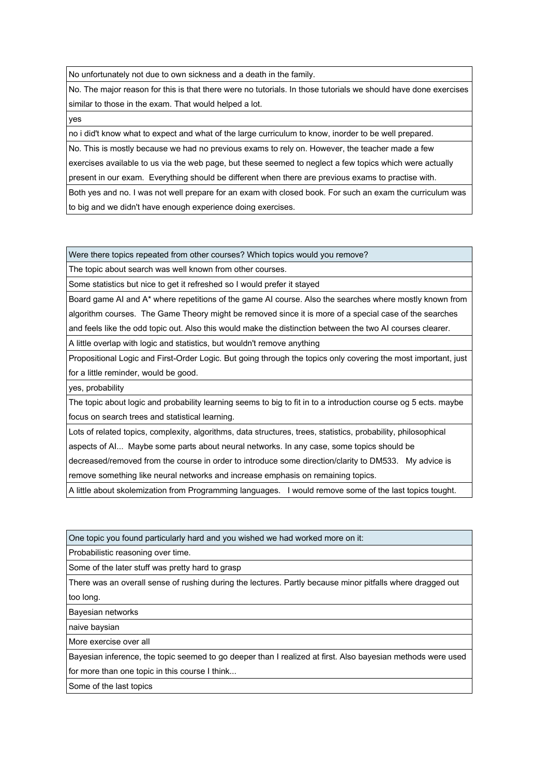No unfortunately not due to own sickness and a death in the family.

No. The major reason for this is that there were no tutorials. In those tutorials we should have done exercises similar to those in the exam. That would helped a lot.

yes

no i did't know what to expect and what of the large curriculum to know, inorder to be well prepared.

No. This is mostly because we had no previous exams to rely on. However, the teacher made a few exercises available to us via the web page, but these seemed to neglect a few topics which were actually present in our exam. Everything should be different when there are previous exams to practise with.

Both yes and no. I was not well prepare for an exam with closed book. For such an exam the curriculum was to big and we didn't have enough experience doing exercises.

Were there topics repeated from other courses? Which topics would you remove?

The topic about search was well known from other courses.

Some statistics but nice to get it refreshed so I would prefer it stayed

Board game AI and A\* where repetitions of the game AI course. Also the searches where mostly known from algorithm courses. The Game Theory might be removed since it is more of a special case of the searches and feels like the odd topic out. Also this would make the distinction between the two AI courses clearer.

A little overlap with logic and statistics, but wouldn't remove anything

Propositional Logic and First-Order Logic. But going through the topics only covering the most important, just for a little reminder, would be good.

yes, probability

The topic about logic and probability learning seems to big to fit in to a introduction course og 5 ects. maybe focus on search trees and statistical learning.

Lots of related topics, complexity, algorithms, data structures, trees, statistics, probability, philosophical

aspects of AI... Maybe some parts about neural networks. In any case, some topics should be

decreased/removed from the course in order to introduce some direction/clarity to DM533. My advice is remove something like neural networks and increase emphasis on remaining topics.

A little about skolemization from Programming languages. I would remove some of the last topics tought.

One topic you found particularly hard and you wished we had worked more on it:

Probabilistic reasoning over time.

Some of the later stuff was pretty hard to grasp

There was an overall sense of rushing during the lectures. Partly because minor pitfalls where dragged out too long.

Bayesian networks

naive baysian

More exercise over all

Bayesian inference, the topic seemed to go deeper than I realized at first. Also bayesian methods were used for more than one topic in this course I think...

Some of the last topics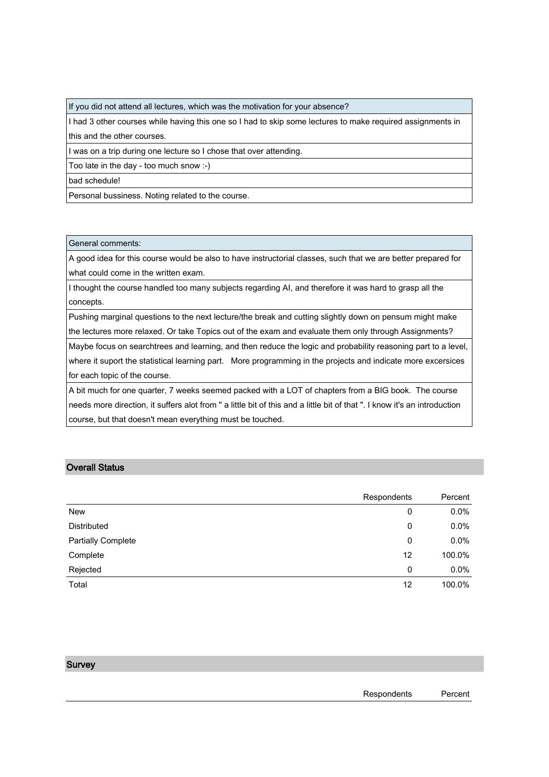If you did not attend all lectures, which was the motivation for your absence?

I had 3 other courses while having this one so I had to skip some lectures to make required assignments in this and the other courses.

I was on a trip during one lecture so I chose that over attending.

Too late in the day - too much snow :-)

bad schedule!

Personal bussiness. Noting related to the course.

General comments:

A good idea for this course would be also to have instructorial classes, such that we are better prepared for what could come in the written exam.

I thought the course handled too many subjects regarding AI, and therefore it was hard to grasp all the concepts.

Pushing marginal questions to the next lecture/the break and cutting slightly down on pensum might make the lectures more relaxed. Or take Topics out of the exam and evaluate them only through Assignments?

Maybe focus on searchtrees and learning, and then reduce the logic and probability reasoning part to a level, where it suport the statistical learning part. More programming in the projects and indicate more excersices for each topic of the course.

A bit much for one quarter, 7 weeks seemed packed with a LOT of chapters from a BIG book. The course needs more direction, it suffers alot from " a little bit of this and a little bit of that ". I know it's an introduction course, but that doesn't mean everything must be touched.

### Overall Status

|                           | Respondents | Percent |
|---------------------------|-------------|---------|
| New                       | 0           | 0.0%    |
| Distributed               | 0           | 0.0%    |
| <b>Partially Complete</b> | 0           | 0.0%    |
| Complete                  | 12          | 100.0%  |
| Rejected                  | 0           | 0.0%    |
| Total                     | 12          | 100.0%  |

### **Survey**

| Respondents | Percent |
|-------------|---------|
|-------------|---------|